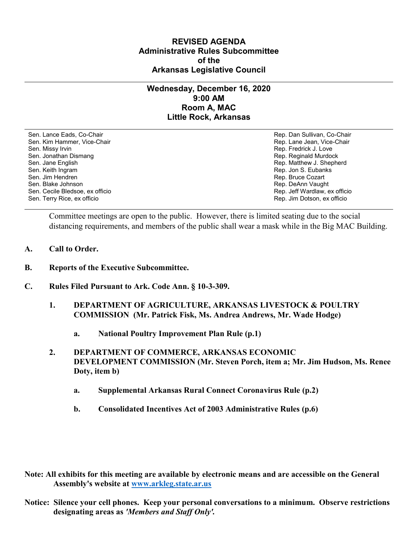## **REVISED AGENDA Administrative Rules Subcommittee of the Arkansas Legislative Council**

## **Wednesday, December 16, 2020 9:00 AM Room A, MAC Little Rock, Arkansas**

Sen. Lance Eads, Co-Chair Rep. Dan Sullivan, Co-Chair Sen. Kim Hammer, Vice-Chair **Rep. Lane Jean, Vice-Chair** Rep. Lane Jean, Vice-Chair Sen. Missy Irvin New York 1, 2008 and the sense of the sense of the Sense of Technical Sense of Technical Australian Sense of Technical Australian Sense of Technical Australian Sense of Technical Australian Sense of Techni Sen. Jonathan Dismang Rep. Reginald Murdock Sen. Jane English Rep. Matthew J. Shepherd Rep. Matthew J. Shepherd Sen. Keith Ingram Rep. Jon S. Eubanks (Sen. Keith Ingram Rep. Jon S. Eubanks (Sen. Jon S. Eubanks (Sen. Jon S. Eubanks (Sen. Jon S. Eubanks (Sen. Jon S. Eubanks (Sen. Jon S. Eubanks (Sen. Jon S. Eubanks (Sen. Jon S. Eubank Sen. Blake Johnson (Sen. 1999)<br>Sen. Cecile Bledsoe, ex officio (Sen. 1999)<br>Sen. Cecile Bledsoe, ex officio (Sen. 1999) Sen. Cecile Bledsoe, ex officio Sen. Terry Rice, ex officio Rep. Jim Dotson, ex officio

Rep. Bruce Cozart

Committee meetings are open to the public. However, there is limited seating due to the social distancing requirements, and members of the public shall wear a mask while in the Big MAC Building.

- **A. Call to Order.**
- **B. Reports of the Executive Subcommittee.**
- **C. Rules Filed Pursuant to Ark. Code Ann. § 10-3-309.**
	- **1. DEPARTMENT OF AGRICULTURE, ARKANSAS LIVESTOCK & POULTRY COMMISSION (Mr. Patrick Fisk, Ms. Andrea Andrews, Mr. Wade Hodge)** 
		- **a. National Poultry Improvement Plan Rule (p.1)**
	- **2. DEPARTMENT OF COMMERCE, ARKANSAS ECONOMIC DEVELOPMENT COMMISSION (Mr. Steven Porch, item a; Mr. Jim Hudson, Ms. Renee Doty, item b)** 
		- **a. Supplemental Arkansas Rural Connect Coronavirus Rule (p.2)**
		- **b. Consolidated Incentives Act of 2003 Administrative Rules (p.6)**

**Note: All exhibits for this meeting are available by electronic means and are accessible on the General Assembly's website at [www.arkleg.state.ar.us](http://www.arkleg.state.ar.us)**

**Notice: Silence your cell phones. Keep your personal conversations to a minimum. Observe restrictions designating areas as** *'Members and Staff Only'.*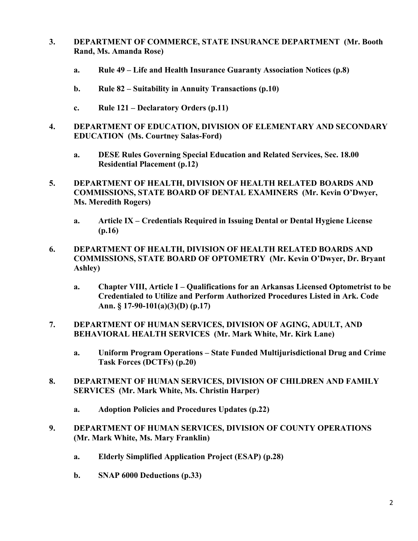- **3. DEPARTMENT OF COMMERCE, STATE INSURANCE DEPARTMENT (Mr. Booth Rand, Ms. Amanda Rose)**
	- **a. Rule 49 – Life and Health Insurance Guaranty Association Notices (p.8)**
	- **b. Rule 82 – Suitability in Annuity Transactions (p.10)**
	- **c. Rule 121 – Declaratory Orders (p.11)**
- **4. DEPARTMENT OF EDUCATION, DIVISION OF ELEMENTARY AND SECONDARY EDUCATION (Ms. Courtney Salas-Ford)**
	- **a. DESE Rules Governing Special Education and Related Services, Sec. 18.00 Residential Placement (p.12)**
- **5. DEPARTMENT OF HEALTH, DIVISION OF HEALTH RELATED BOARDS AND COMMISSIONS, STATE BOARD OF DENTAL EXAMINERS (Mr. Kevin O'Dwyer, Ms. Meredith Rogers)**
	- **a. Article IX – Credentials Required in Issuing Dental or Dental Hygiene License (p.16)**
- **6. DEPARTMENT OF HEALTH, DIVISION OF HEALTH RELATED BOARDS AND COMMISSIONS, STATE BOARD OF OPTOMETRY (Mr. Kevin O'Dwyer, Dr. Bryant Ashley)**
	- **a. Chapter VIII, Article I – Qualifications for an Arkansas Licensed Optometrist to be Credentialed to Utilize and Perform Authorized Procedures Listed in Ark. Code Ann. § 17-90-101(a)(3)(D) (p.17)**
- **7. DEPARTMENT OF HUMAN SERVICES, DIVISION OF AGING, ADULT, AND BEHAVIORAL HEALTH SERVICES (Mr. Mark White, Mr. Kirk Lane)**
	- **a. Uniform Program Operations – State Funded Multijurisdictional Drug and Crime Task Forces (DCTFs) (p.20)**
- **8. DEPARTMENT OF HUMAN SERVICES, DIVISION OF CHILDREN AND FAMILY SERVICES (Mr. Mark White, Ms. Christin Harper)**
	- **a. Adoption Policies and Procedures Updates (p.22)**
- **9. DEPARTMENT OF HUMAN SERVICES, DIVISION OF COUNTY OPERATIONS (Mr. Mark White, Ms. Mary Franklin)**
	- **a. Elderly Simplified Application Project (ESAP) (p.28)**
	- **b. SNAP 6000 Deductions (p.33)**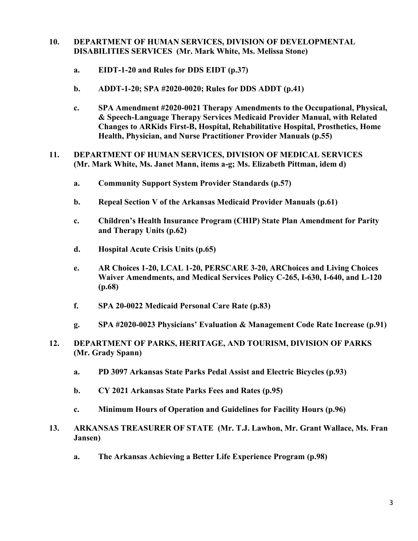## **10. DEPARTMENT OF HUMAN SERVICES, DIVISION OF DEVELOPMENTAL DISABILITIES SERVICES (Mr. Mark White, Ms. Melissa Stone)**

- **a. EIDT-1-20 and Rules for DDS EIDT (p.37)**
- **b. ADDT-1-20; SPA #2020-0020; Rules for DDS ADDT (p.41)**
- **c. SPA Amendment #2020-0021 Therapy Amendments to the Occupational, Physical, & Speech-Language Therapy Services Medicaid Provider Manual, with Related Changes to ARKids First-B, Hospital, Rehabilitative Hospital, Prosthetics, Home Health, Physician, and Nurse Practitioner Provider Manuals (p.55)**
- **11. DEPARTMENT OF HUMAN SERVICES, DIVISION OF MEDICAL SERVICES (Mr. Mark White, Ms. Janet Mann, items a-g; Ms. Elizabeth Pittman, idem d)** 
	- **a. Community Support System Provider Standards (p.57)**
	- **b. Repeal Section V of the Arkansas Medicaid Provider Manuals (p.61)**
	- **c. Children's Health Insurance Program (CHIP) State Plan Amendment for Parity and Therapy Units (p.62)**
	- **d. Hospital Acute Crisis Units (p.65)**
	- **e. AR Choices 1-20, LCAL 1-20, PERSCARE 3-20, ARChoices and Living Choices Waiver Amendments, and Medical Services Policy C-265, I-630, I-640, and L-120 (p.68)**
	- **f. SPA 20-0022 Medicaid Personal Care Rate (p.83)**
	- **g. SPA #2020-0023 Physicians' Evaluation & Management Code Rate Increase (p.91)**
- **12. DEPARTMENT OF PARKS, HERITAGE, AND TOURISM, DIVISION OF PARKS (Mr. Grady Spann)**
	- **a. PD 3097 Arkansas State Parks Pedal Assist and Electric Bicycles (p.93)**
	- **b. CY 2021 Arkansas State Parks Fees and Rates (p.95)**
	- **c. Minimum Hours of Operation and Guidelines for Facility Hours (p.96)**
- **13. ARKANSAS TREASURER OF STATE (Mr. T.J. Lawhon, Mr. Grant Wallace, Ms. Fran Jansen)**
	- **a. The Arkansas Achieving a Better Life Experience Program (p.98)**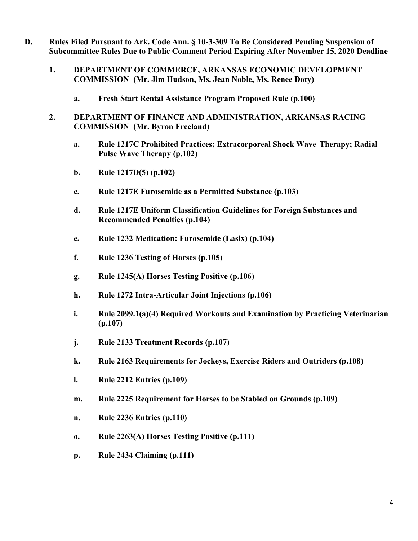- **D. Rules Filed Pursuant to Ark. Code Ann. § 10-3-309 To Be Considered Pending Suspension of Subcommittee Rules Due to Public Comment Period Expiring After November 15, 2020 Deadline**
	- **1. DEPARTMENT OF COMMERCE, ARKANSAS ECONOMIC DEVELOPMENT COMMISSION (Mr. Jim Hudson, Ms. Jean Noble, Ms. Renee Doty)**
		- **a. Fresh Start Rental Assistance Program Proposed Rule (p.100)**
	- **2. DEPARTMENT OF FINANCE AND ADMINISTRATION, ARKANSAS RACING COMMISSION (Mr. Byron Freeland)**
		- **a. Rule 1217C Prohibited Practices; Extracorporeal Shock Wave Therapy; Radial Pulse Wave Therapy (p.102)**
		- **b. Rule 1217D(5) (p.102)**
		- **c. Rule 1217E Furosemide as a Permitted Substance (p.103)**
		- **d. Rule 1217E Uniform Classification Guidelines for Foreign Substances and Recommended Penalties (p.104)**
		- **e. Rule 1232 Medication: Furosemide (Lasix) (p.104)**
		- **f. Rule 1236 Testing of Horses (p.105)**
		- **g. Rule 1245(A) Horses Testing Positive (p.106)**
		- **h. Rule 1272 Intra-Articular Joint Injections (p.106)**
		- **i. Rule 2099.1(a)(4) Required Workouts and Examination by Practicing Veterinarian (p.107)**
		- **j. Rule 2133 Treatment Records (p.107)**
		- **k. Rule 2163 Requirements for Jockeys, Exercise Riders and Outriders (p.108)**
		- **l. Rule 2212 Entries (p.109)**
		- **m. Rule 2225 Requirement for Horses to be Stabled on Grounds (p.109)**
		- **n. Rule 2236 Entries (p.110)**
		- **o. Rule 2263(A) Horses Testing Positive (p.111)**
		- **p. Rule 2434 Claiming (p.111)**